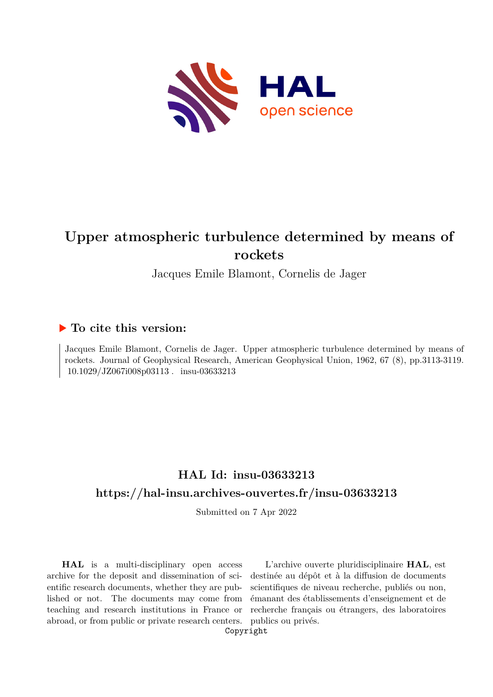

# **Upper atmospheric turbulence determined by means of rockets**

Jacques Emile Blamont, Cornelis de Jager

### **To cite this version:**

Jacques Emile Blamont, Cornelis de Jager. Upper atmospheric turbulence determined by means of rockets. Journal of Geophysical Research, American Geophysical Union, 1962, 67 (8), pp.3113-3119.  $10.1029/JZ067i008p03113$  .  $\,$  insu-03633213  $\,$ 

## **HAL Id: insu-03633213 <https://hal-insu.archives-ouvertes.fr/insu-03633213>**

Submitted on 7 Apr 2022

**HAL** is a multi-disciplinary open access archive for the deposit and dissemination of scientific research documents, whether they are published or not. The documents may come from teaching and research institutions in France or abroad, or from public or private research centers.

L'archive ouverte pluridisciplinaire **HAL**, est destinée au dépôt et à la diffusion de documents scientifiques de niveau recherche, publiés ou non, émanant des établissements d'enseignement et de recherche français ou étrangers, des laboratoires publics ou privés.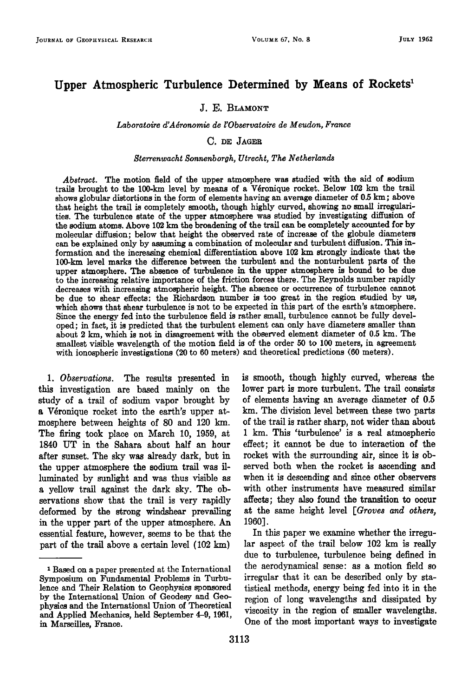### Upper Atmospheric Turbulence Determined by Means of Rockets<sup>1</sup>

#### **J. E. BLAMONT**

#### **Laboratoire d'Adronomie de l'Observatoire de Meudon, France**

#### **C.** DE JAGER

#### **\$terrenwacht \$onnenborgh, Utrecht, The Netherlands**

**Abstract. The motion field of the upper atmosphere was studied with the aid of sodium**  trails brought to the 100-km level by means of a Véronique rocket. Below 102 km the trail **shows globular distortions in the form of elements having an average diameter of 0.5 km; above that height the trail is completely smooth, though highly curved, showing no small irregularities. The turbulence state of the upper atmosphere was studied by investigating diffusion of the sodium atoms. Above 102 km the broadening of the trail can be completely accounted for by molecular diffusion; below that height the observed rate of increase of the globule diameters**  can be explained only by assuming a combination of molecular and turbulent diffusion. This in**formation and the increasing chemical differentiation above 102 km strongly indicate that the 100-km level marks the difference between the turbulent and the nonturbulent parts of the upper atmosphere. The absence of turbulence fix the upper atmosphere is bound to be due to the increasing relative importance of the friction forces there. The Reynolds number rapidly decreases with increasing atmospheric height. The absence or occurrence of turbulence cannot be due to shear effects: the Richardson number is too great in the region studied by us, which shows that shear turbulence is not to be expected in this part of the earth's atmosphere. Since the energy fed into the turbulence field is rather small, turbulence cannot be fully developed; in fact, it is predicted that the turbulent element can only have diameters smaller than about 2 km, which is not in disagreement with the observed element diameter of 0.5 km. The smallest visible wavelength of the motion field is of the order 50 to 100 meters, in agreement with ionospheric investigations (20 to 60 meters) and theoretical predictions (60 meters).** 

**1. Observations. The results presented in this investigation are based mainly on the study of a trail of sodium vapor brought by**  a Véronique rocket into the earth's upper at**mosphere between heights of 80 and 120 km. The firing took place on March 10, 1959, at 1840 UT in the Sahara about half an hour after sunset. The sky was already dark, but in the upper atmosphere the sodium trail was illuminated by sunlight and was thus visible as a yellow trail against the dark sky. The observations show that the trail is very rapidly deformed by the strong windshear prevailing in the upper part of the upper atmosphere. An essential feature, however, seems to be that the part of the trail above a certain level (102 km)** 

**is smooth, though highly curved, whereas the lower part is more turbulent. The trail consists of elements having an average diameter of 0.5 km. The division level between these two parts of the trail is rather sharp, not wider than about i km. This 'turbulence' is a real atmospheric effect; it cannot be due to interaction of the rocket with the surrounding air, since it is observed both when the rocket is ascending and when it is descending and since other observers with other instruments have measured similar affects; they also found the transition to occur at the same height level [Groves and others, 1960].** 

**In this paper we examine whether the irregular aspect of the trail below 102 km is really due to turbulence, turbulence being defined in the aerodynamical sense: as a motion field so irregular that it can be described only by statistical methods, energy being fed into it in the region of long wavelengths and dissipated by viscosity in the region of smaller wavelengths. One of the most important ways to investigate** 

**<sup>•</sup> Based on a paper presented at the International Symposium on Fundamental Problems in Turbulence and Their Relation to Geophysics sponsored by the International Union of Geodesy and Geophysics and the International Union of Theoretical and Applied Mechanics, held September 4-9, 1961, in Marseilles, France.**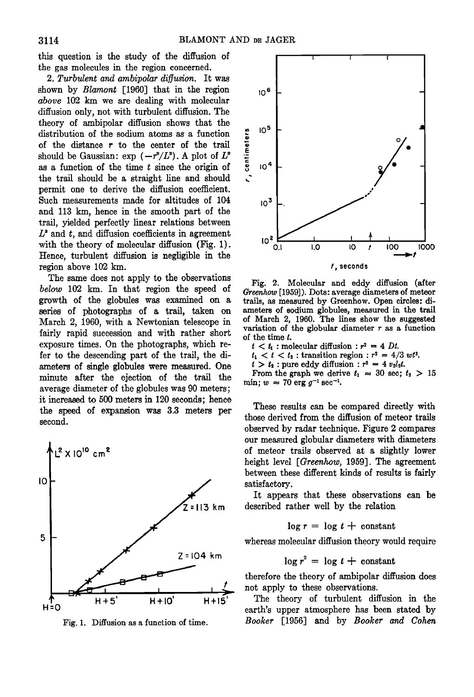**this question is the study of the diffusion of the gas molecules in the region concerned.** 

**2. Turbulent and ambipolar diffusion. It was shown by Blamont [1960] that in the region above 102 km we are dealing with molecular diffusion only, not with turbulent diffusion. The theory of ambipolar diffusion shows that the distribution of the sodium atoms as a function of the distance r to the center of the trail**  should be Gaussian:  $\exp(-r^2/L^2)$ . A plot of  $L^2$ **as a function of the time t since the origin of the trail should be a straight line and should permit one to derive the diffusion coefficient. Such measurements made for altitudes of 104 and 113 km, hence in the smooth part of the trail, yielded perfectly linear relations between**   $L<sup>2</sup>$  and  $t$ , and diffusion coefficients in agreement **with the theory of molecular diffusion (Fig. 1). Hence, turbulent diffusion is negligible in the region above 102 km.** 

**The same does not apply to the observations below 102 km. In that region the speed of growth of the globules was examined on a series of photographs of a trail, taken on March 2, 1960, with a Newtonian telescope in fairly rapid succession and with rather short exposure times. On the photographs, which refer to the descending part of the trail, the diameters of single globules were measured. One**  minute after the ejection of the trail the **average diameter of the globules was 90 meters; it increased to 500 meters in 120 seconds; hence the speed of expansion was 3.3 meters per second.** 



**Fig. 1. Diffusion as a function of time.** 



**Fig. 2. Molecular and eddy diffusion (after Greenhow [1959]). Dots: average diameters of meteor trails, as measured by Greenhow. Open circles: diameters of sodium globules, measured in the trail of March 2, 1960. The lines show the suggested variation of the globular diameter r as a function of the time t.** 

- $t < t_1$ : molecular diffusion:  $r^2 = 4 \, Dt$ .
- $t_1 < t < t_2$ : transition region:  $r^2 = 4/3$  wt<sup>3</sup>.
- $t > t_2$ : pure eddy diffusion:  $r^2 = 4 v_2 l_2 t$ .

From the graph we derive  $t_1 \approx 30$  sec;  $t_2 > 15$  $\min: w \approx 70 \text{ erg } g^{-1} \text{ sec}^{-1}$ .

**These results can be compared directly with those derived from the diffusion of meteor trails observed by radar technique. Figure 2 compares our measured globular diameters with diameters of meteor trails observed at a slightly lower height level [Greenhow, 1959]. The agreement between these different kinds of results is fairly satisfactory.** 

**It appears that these observations can be described rather well by the relation** 

$$
\log r = \log t + \text{ constant}
$$

**whereas molecular diffusion theory would require** 

$$
\log r^2 = \log t + \text{ constant}
$$

**therefore the theory of ambipolar diffusion does not apply to these observations.** 

**The theory of turbulent diffusion in the earth's upper atmosphere has been stated by Booker [1956] and by Booker and Cohen**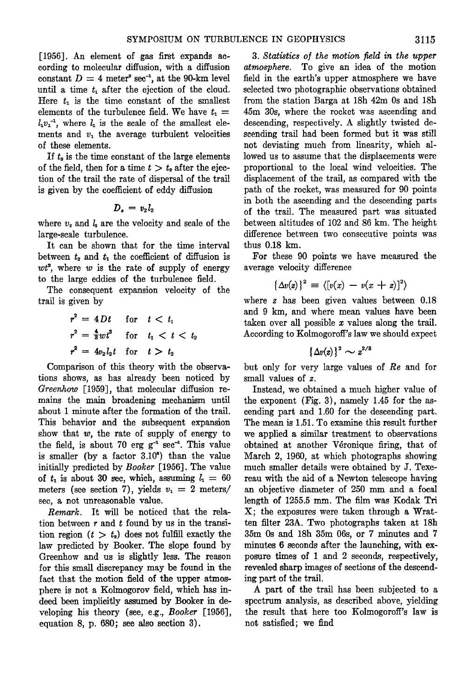**[1956]. An element of gas first expands according to molecular diffusion, with a diffusion**  constant  $D = 4$  meter<sup>2</sup> sec<sup>-1</sup>, at the 90-km level until a time  $t_1$  after the ejection of the cloud. Here  $t_1$  is the time constant of the smallest elements of the turbulence field. We have  $t_1 =$  $l_1v_1^{-1}$ , where  $l_1$  is the scale of the smallest elements and  $v_1$  the average turbulent velocities **of these elements.** 

If  $t<sub>2</sub>$  is the time constant of the large elements of the field, then for a time  $t > t<sub>2</sub>$  after the ejec**tion of the trail the rate of dispersal of the trail is given by the coefficient of eddy diffusion** 

$$
D_e = v_2 l_2
$$

where  $v<sub>z</sub>$  and  $l<sub>z</sub>$  are the velocity and scale of the **large-scale turbulence.** 

**It can be shown that for the time interval**  between  $t_2$  and  $t_1$  the coefficient of diffusion is  $wt^2$ , where  $w$  is the rate of supply of energy **to the large eddies of the turbulence field.** 

**The consequent expansion velocity of the trail is given by** 

$$
r^2 = 4Dt \quad \text{for} \quad t < t_1
$$
\n
$$
r^2 = \frac{4}{3}wt^3 \quad \text{for} \quad t_1 < t < t_2
$$
\n
$$
r^2 = 4v_2l_2t \quad \text{for} \quad t > t_2
$$

**Comparison of this theory with the observations shows, as has already been noticed by Greenhow [1959], that molecular diffusion remains the main broadening mechanism until about I minute after the formation of the trail. This behavior and the subsequent expansion show that w, the rate of supply of energy to**  the field, is about 70  $erg\ g^{-1}\ sec^{-1}$ . This value is smaller (by a factor 3.10<sup>°</sup>) than the value **initially predicted by Booker [1956]. The value**  of  $t_1$  is about 30 sec, which, assuming  $l_1 = 60$ meters (see section 7), yields  $v_1 = 2$  meters/ **sec, a not unreasonable value.** 

**Remark. It will be noticed that the relation between r and t found by us in the transi**tion region  $(t > t_2)$  does not fulfill exactly the **law predicted by Booker. The slope found by Greenhow and us is slightly less. The reason for this small discrepancy may be found in the fact that the motion field of the upper atmosphere is not a Kolmogorov field, which has in**deed been implicitly assumed by Booker in de**veloping his theory (see, e.g., Booker [1956], equation 8, p. 680; see also section 3).** 

**3.** Statistics of the motion field in the upper **atmosphere. To give an idea of the motion field in the earth's upper atmosphere we have selected two photographic observations obtained from the station Barga at 18h 42m Os and 18h 45m 30s, where the rocket was ascending and descending, respectively. A slightly twisted descending trail had been formed but it was still not deviating much from linearity, which allowed us to assume that the displacements were proportional to the local wind velocities. The displacement of the trail, as compared with the path of the rocket, was measured for 90 points in both the ascending and the descending parts of the trail. The measured part was situated between altitudes of 102 and 86 km. The height difference between two consecutive points was thus 0.18 km.** 

**For these 90 points we have measured the average velocity difference** 

$$
\{\Delta v(z)\}^2 = \langle [v(x) - v(x+z)]^2 \rangle
$$

**where z has been given values between 0.18 and 9 km, and where mean values have been taken over all possible x values along the trail. According to Kolmogoroff's law we should expect** 

$$
\{\Delta v(z)\}^2 \sim z^{2/3}
$$

**but only for very large values of Re and for small values of z.** 

**Instead, we obtained a much higher value of the exponent (Fig. 3), namely 1.45 for the ascending part and 1.60 for the descending part. The mean is 1.51. To examine this result further we applied a similar treatment to observations obtained at another V•ronique firing, that of March 2, 1960, at which photographs showing much smaller details were obtained by J. Texereau with the aid of a Newton telescope having an objective diameter of 250 mm and a focal length of 1255.5 mm. The film was Kodak Tri X; the exposures were taken through a Wratten filter 23A. Two photographs taken at 18h 35m Os and 18h 35m 06s, or 7 minutes and 7 minutes 6 seconds after the launching, with exposure times of 1 and 2 seconds, respectively,**  revealed sharp images of sections of the descend**ing part of the trail.** 

**A part of the trail has been subjected to a spectrum analysis, as described above, yielding the result that here too Kolmogoroff's law is not satisfied; we find**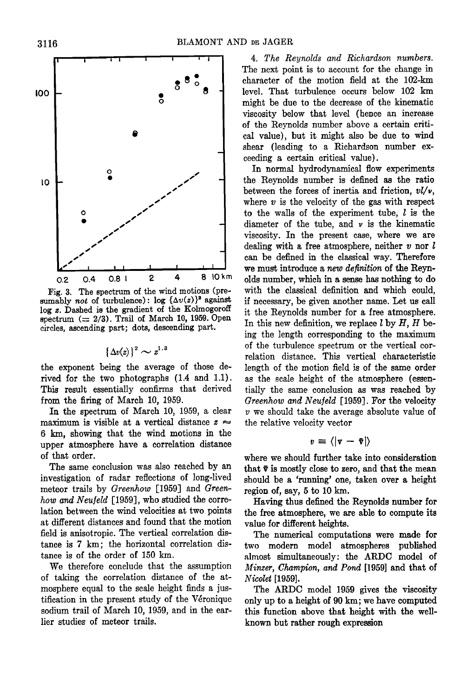

Fig. 3. The spectrum of the wind motions (presumably not of turbulence):  $\log {\{\Delta v(z)\}}^2$  against log z. Dashed is the gradient of the Kolmogoroff spectrum  $(= 2/3)$ . Trail of March 10, 1959. Open **circles, ascending part; dots, descending part.** 

 $\{\Delta v(z)\}^2 \sim z^{1.3}$ 

**the exponent being the average of those derived for the two photographs (1.4 and 1.1). This result essentially confirms that derived from the firing of March 10, 1959.** 

**In the spectrum of March 10, 1959, a clear**  maximum is visible at a vertical distance  $z \approx$ **6 km, showing that the wind motions in the upper atmosphere have a correlation distance of that order.** 

**The same conclusion was also reached by an investigation of radar reflections of long-lived meteor trails by Greenhow [1959] and Green**how and Neufeld [1959], who studied the corre**lation between the wind velocities at two points at different distances and found that the motion field is anisotropic. The vertical correlation disrance is 7 km; the horizontal correlation disrance is of the order of 150 km.** 

**We therefore conclude that the assumption of taking the correlation distance of the atmosphere equal to the scale height finds a jus**tification in the present study of the Véronique **sodium trail of March 10, 1959, and in the earlier studies of meteor trails.** 

**4. The Reynolds and Richardson numbers. The next point is to account for the change in character of the motion field at the 102-km level. That turbulence occurs below 102 km might be due to the decrease of the kinematic viscosity below that level (hence an increase of the Reynolds number above a certain critical value), but it might also be due to wind shear (leading to a Richardson number exceeding a certain critical value).** 

**In normal hydrodynamical flow experiments the Reynolds number is defined as the ratio between the forces of inertia and friction, vl/v, where v is the velocity of the gas with respect to the walls of the experiment tube, 1 is the diameter of the tube, and v is the kinematic viscosity. In the present case, where we are dealing with a free atmosphere, neither v nor l can be defined in the classical way. Therefore**  we must introduce a *new definition* of the Revn**olds number, which in a sense has nothing to do with the classical definition and which could, if necessary, be given another name. Let us call it the Reynolds number for a free atmosphere. In this new definition, we replace l by H, H being the length corresponding to the maximum of the turbulence spectrum or the vertical correlation distance. This vertical characteristic length of the motion field is of the same order as the scale height of the atmosphere (essentially the same conclusion as was reached by Greenhow and Neuleld [1959]. For the velocity v we should take the average absolute value of the relative velocity vector** 

$$
v\equiv\langle|\mathbf{v}-\bar{\mathbf{v}}|\rangle
$$

**where we should further take into consideration**  that  $\bar{v}$  is mostly close to zero, and that the mean **should be a 'running' one, taken over a height**  region of, say, 5 to 10 km.

**Having thus defined the Reynolds number for the free atmosphere, we are able to compute its value for different heights.** 

**The numerical computations were made for two modern model atmospheres published ,•lmost simultaneously' the ARDC model of Minzer, Champion, and Pond [1959] and that of Nicolet [1959].** 

**The ARDC model 1959 gives the viscosity only up to a height of 90 km; we have computed this function above that height with the wellknown but rather rough expression**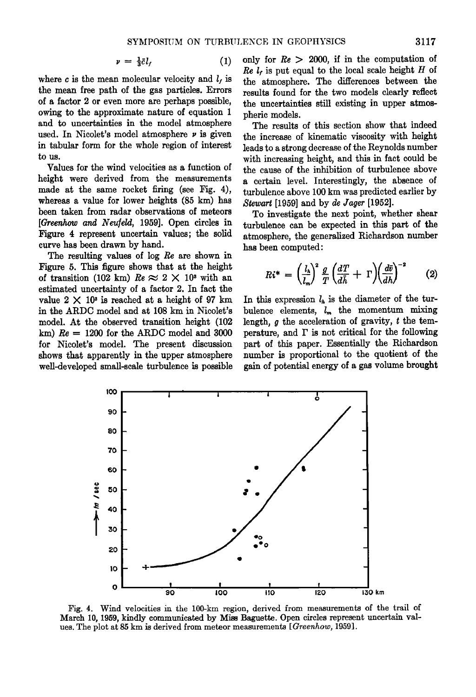$$
v = \frac{1}{3}\bar{c}l_f \tag{1}
$$

where  $c$  is the mean molecular velocity and  $l_i$  is **the mean free path of the gas particles. Errors of a factor 2 or even more are perhaps possible, owing to the approximate nature of equation 1 and to uncertainties in the model atmosphere**  used. In Nicolet's model atmosphere  $\nu$  is given **in tabular form for the whole region of interest to us.** 

**Values for the wind velocities as a function of height were derived from the measurements made at the same rocket firing (see Fig. 4), whereas a value for lower heights (85 km) has been taken from radar observations of meteors**  [Greenhow and Neufeld, 1959]. Open circles in **Figure 4 represent uncertain values; the solid curve has been drawn by hand.** 

**The resulting values of log Re are shown in Figure 5. This figure shows that at the height**  of transition (102 km)  $Re \approx 2 \times 10^3$  with an **estimated uncertainty of a factor 2. In fact the**  value  $2 \times 10^3$  is reached at a height of 97 km **in the ARDC model and at 108 km in Nicolet's model. At the observed transition height (102 km) Re = 1200 for the ARDC model and 3000**  for Nicolet's model. The present discussion **shows that apparently in the upper atmosphere well-developed small-scale turbulence is possible**  **only for Re > 2000, if in the computation of**   $Re l<sub>t</sub>$  is put equal to the local scale height  $H$  of **the atmosphere. The differences between the results found for the two models clearly reflect the uncertainties still existing in upper atmospheric models.** 

**The results of this section show that indeed the increase of kinematic viscosity with height leads to a strong decrease of the Reynolds number with increasing height, and this in fact could be the cause of the inhibition of turbulence above a certain level. Interestingly, the absence of turbulence above 100 km was predicted earlier by Stewart [1959] and by de Jager [1952].** 

**To investigate the next point, whether shear turbulence can be expected in this part of the atmosphere, the generalized Richardson number has been computed:** 

$$
Ri^* = \left(\frac{l_h}{l_m}\right)^2 \frac{g}{T} \left(\frac{dT}{d\tilde{h}} + \Gamma\right) \left(\frac{d\bar{v}}{dh}\right)^{-2} \qquad (2)
$$

In this expression  $l<sub>k</sub>$  is the diameter of the turbulence elements,  $l_m$  the momentum mixing **length, g the acceleration of gravity, t the temperature, and F is not critical for the following part of this paper. Essentially the Richardson number is proportional to the quotient of the gain of potential energy of a gas volume brought** 



Fig. 4. Wind velocities in the 100-km region, derived from measurements of the trail of **March 10, 1959, kindly communicated by Miss Baguette. Open circles represent uncertain values. The plot at 85 km is derived from meteor measurements [Greenhow, 1959].**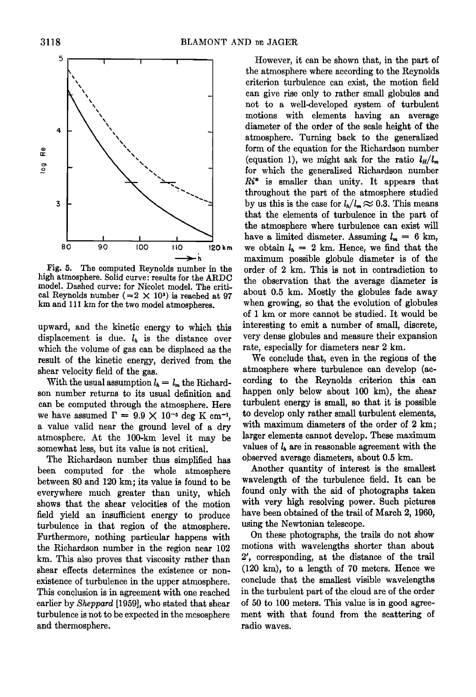

**Fig. 5. The computed Reynolds number in the high atmosphere. Solid curve' results for the ARDC**  model. Dashed curve: for Nicolet model. The critical Reynolds number  $(=2 \times 10^3)$  is reached at 97 **km and 111 km for the two model atmospheres.** 

**upward, and the kinetic energy to which this**  displacement is due.  $l<sub>h</sub>$  is the distance over **which the volume of gas can be displaced as the result of the kinetic energy, derived from the shear velocity field of the gas.** 

With the usual assumption  $l_h = l_m$  the Richard**son number returns to its usual definition and can be computed through the atmosphere. Here**  we have assumed  $\Gamma = 9.9 \times 10^{-5}$  deg K cm<sup>-1</sup>. **a value valid near the ground level of a dry atmosphere. At the 100-km level it may be somewhat less, but its value is not critical.** 

**The Richardson number thus simplified has been computed for the whole atmosphere between 80 and 120 km; its value is found to be everywhere much greater than unity, which shows that the shear velocities of the motion field yield an insufficient energy to produce turbulence in that region of the atmosphere. Furthermore, nothing particular happens with the Richardson number in the region near 102 km. This also proves that viscosity rather than shear effects determines the existence or nonexistence of turbulence in the upper atmosphere. This conclusion is in agreement with one reached earlier by Sheppard [1959], who stated that shear**  turbulence is not to be expected in the mesosphere **and thermospherc.** 

**However, it can be shown that, in the part of the atmosphere where according to the Reynolds criterion turbulence can exist, the motion field can give rise only to rather small globules and not to a well-developed system of turbulent motions with elements having an average diameter of the order of the scale height of the atmosphere. Turning back to the generalized form of the equation for the Richardson number**  (equation 1), we might ask for the ratio  $l_H/l_m$ **for which the generalized Richardson number Ri\* is smaller than unity. It appears that throughout the part of the atmosphere studied**  by us this is the case for  $l_h/l_m \approx 0.3$ . This means **that the elements of turbulence in the part of the atmosphere where turbulence can exist will**  have a limited diameter. Assuming  $l_m = 6$  km, we obtain  $l_h = 2$  km. Hence, we find that the **maximum possible globule diameter is of the order of 2 km. This is not in contradiction to the observation that the average diameter is about 0.5 kin. Mostly the globules fade away when growing, so that the evolution of globules of i km or more cannot be studied. It would be interesting to emit a number of small, discrete, very dense globules and measure their expansion**  rate, especially for diameters near 2 km.

**We conclude that, even in the regions of the atmosphere where turbulence can develop cording to the Reynolds criterion this can**  happen only below about 100 km), the shear **turbulent energy is small, so that it is possible to develop only rather small turbulent elements,**  with maximum diameters of the order of 2 km; **larger elements cannot develop. These maximum**  values of  $l<sub>h</sub>$  are in reasonable agreement with the **observed average diameters, about 0.5 kin.** 

**Another quantity of interest is the smallest wavelength of the turbulence field. It can be found only with the aid of photographs taken with very high resolving power. Such pictures have been obtained of the trail of March 2, 1960, using the Newtonian telescope.** 

**On these photographs, the trails do not show motions with wavelengths shorter than about 2', corresponding, at the distance of the trail (120 kin), to a length of 70 meters. Hence we conclude that the smallest visible wavelengths in the turbulent part of the cloud are of the order of 50 to 100 meters. This value is in good agreement with that found from the scattering of radio waves.**